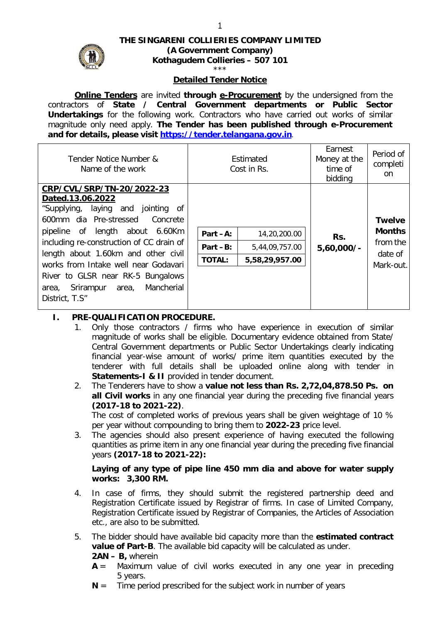

# **THE SINGARENI COLLIERIES COMPANY LIMITED (A Government Company) Kothagudem Collieries – 507 101**

#### \*\*\*

#### **Detailed Tender Notice**

**Online Tenders** are invited **through e-Procurement** by the undersigned from the contractors of **State / Central Government departments or Public Sector Undertakings** for the following work. Contractors who have carried out works of similar magnitude only need apply. **The Tender has been published through e-Procurement and for details, please visit https://tender.telangana.gov.in**.

| Estimated<br>Cost in Rs. |                | Earnest<br>Money at the<br>time of<br>bidding | Period of<br>completi<br>on                       |
|--------------------------|----------------|-----------------------------------------------|---------------------------------------------------|
|                          |                |                                               |                                                   |
|                          |                |                                               |                                                   |
|                          |                |                                               |                                                   |
|                          |                |                                               | <b>Twelve</b>                                     |
| Part $-A$ :              | 14,20,200.00   | Rs.<br>$5,60,000/$ -                          | <b>Months</b><br>from the<br>date of<br>Mark-out. |
| Part -B:                 | 5,44,09,757.00 |                                               |                                                   |
| <b>TOTAL:</b>            | 5,58,29,957.00 |                                               |                                                   |
|                          |                |                                               |                                                   |
|                          |                |                                               |                                                   |
|                          |                |                                               |                                                   |
|                          |                |                                               |                                                   |

#### **I. PRE-QUALIFICATION PROCEDURE.**

- 1. Only those contractors / firms who have experience in execution of similar magnitude of works shall be eligible. Documentary evidence obtained from State/ Central Government departments or Public Sector Undertakings clearly indicating financial year-wise amount of works/ prime item quantities executed by the tenderer with full details shall be uploaded online along with tender in **Statements-I & II** provided in tender document.
- 2. The Tenderers have to show a **value not less than Rs. 2,72,04,878.50 Ps. on all Civil works** in any one financial year during the preceding five financial years **(2017-18 to 2021-22)**.

The cost of completed works of previous years shall be given weightage of 10 % per year without compounding to bring them to **2022-23** price level.

3. The agencies should also present experience of having executed the following quantities as prime item in any one financial year during the preceding five financial years **(2017-18 to 2021-22):**

**Laying of any type of pipe line 450 mm dia and above for water supply works: 3,300 RM.** 

- 4. In case of firms, they should submit the registered partnership deed and Registration Certificate issued by Registrar of firms. In case of Limited Company, Registration Certificate issued by Registrar of Companies, the Articles of Association etc., are also to be submitted.
- 5. The bidder should have available bid capacity more than the **estimated contract value of Part-B**. The available bid capacity will be calculated as under. **2AN – B,** wherein
	- $A =$  Maximum value of civil works executed in any one year in preceding 5 years.
	- $N =$  Time period prescribed for the subject work in number of years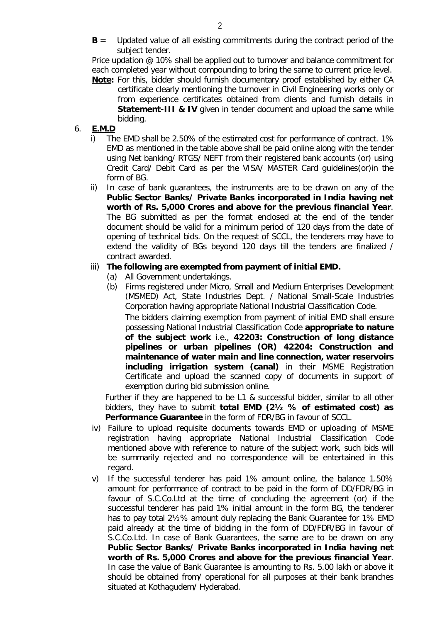**B** = Updated value of all existing commitments during the contract period of the subject tender.

Price updation @ 10% shall be applied out to turnover and balance commitment for each completed year without compounding to bring the same to current price level. **Note:** For this, bidder should furnish documentary proof established by either CA

certificate clearly mentioning the turnover in Civil Engineering works only or from experience certificates obtained from clients and furnish details in **Statement-III & IV** given in tender document and upload the same while bidding.

# 6. **E.M.D**

- i) The EMD shall be 2.50% of the estimated cost for performance of contract. 1% EMD as mentioned in the table above shall be paid online along with the tender using Net banking/ RTGS/ NEFT from their registered bank accounts (or) using Credit Card/ Debit Card as per the VISA/ MASTER Card guidelines(or)in the form of BG.
- ii) In case of bank guarantees, the instruments are to be drawn on any of the **Public Sector Banks/ Private Banks incorporated in India having net worth of Rs. 5,000 Crores and above for the previous financial Year**. The BG submitted as per the format enclosed at the end of the tender document should be valid for a minimum period of 120 days from the date of opening of technical bids. On the request of SCCL, the tenderers may have to extend the validity of BGs beyond 120 days till the tenders are finalized / contract awarded.

### iii) **The following are exempted from payment of initial EMD.**

- (a) All Government undertakings.
- (b) Firms registered under Micro, Small and Medium Enterprises Development (MSMED) Act, State Industries Dept. / National Small-Scale Industries Corporation having appropriate National Industrial Classification Code.

The bidders claiming exemption from payment of initial EMD shall ensure possessing National Industrial Classification Code **appropriate to nature of the subject work** i.e., **42203: Construction of long distance pipelines or urban pipelines (OR) 42204: Construction and maintenance of water main and line connection, water reservoirs including irrigation system (canal)** in their MSME Registration Certificate and upload the scanned copy of documents in support of exemption during bid submission online.

Further if they are happened to be L1 & successful bidder, similar to all other bidders, they have to submit **total EMD (2½ % of estimated cost) as Performance Guarantee** in the form of FDR/BG in favour of SCCL.

- iv) Failure to upload requisite documents towards EMD or uploading of MSME registration having appropriate National Industrial Classification Code mentioned above with reference to nature of the subject work, such bids will be summarily rejected and no correspondence will be entertained in this regard.
- v) If the successful tenderer has paid 1% amount online, the balance 1.50% amount for performance of contract to be paid in the form of DD/FDR/BG in favour of S.C.Co.Ltd at the time of concluding the agreement (or) if the successful tenderer has paid 1% initial amount in the form BG, the tenderer has to pay total 2½% amount duly replacing the Bank Guarantee for 1% EMD paid already at the time of bidding in the form of DD/FDR/BG in favour of S.C.Co.Ltd. In case of Bank Guarantees, the same are to be drawn on any **Public Sector Banks/ Private Banks incorporated in India having net worth of Rs. 5,000 Crores and above for the previous financial Year**. In case the value of Bank Guarantee is amounting to Rs. 5.00 lakh or above it should be obtained from/ operational for all purposes at their bank branches situated at Kothagudem/ Hyderabad.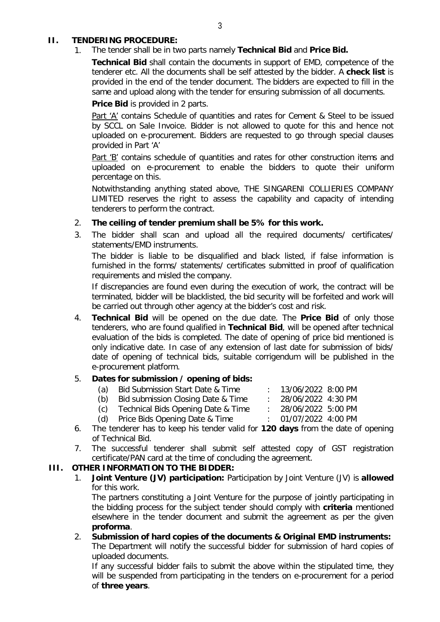### **II. TENDERING PROCEDURE:**

1. The tender shall be in two parts namely **Technical Bid** and **Price Bid.** 

**Technical Bid** shall contain the documents in support of EMD, competence of the tenderer etc. All the documents shall be self attested by the bidder. A **check list** is provided in the end of the tender document. The bidders are expected to fill in the same and upload along with the tender for ensuring submission of all documents.

**Price Bid** is provided in 2 parts.

Part 'A' contains Schedule of quantities and rates for Cement & Steel to be issued by SCCL on Sale Invoice. Bidder is not allowed to quote for this and hence not uploaded on e-procurement. Bidders are requested to go through special clauses provided in Part 'A'

Part 'B' contains schedule of quantities and rates for other construction items and uploaded on e-procurement to enable the bidders to quote their uniform percentage on this.

Notwithstanding anything stated above, THE SINGARENI COLLIERIES COMPANY LIMITED reserves the right to assess the capability and capacity of intending tenderers to perform the contract.

- 2. **The ceiling of tender premium shall be 5% for this work.**
- 3. The bidder shall scan and upload all the required documents/ certificates/ statements/EMD instruments.

The bidder is liable to be disqualified and black listed, if false information is furnished in the forms/ statements/ certificates submitted in proof of qualification requirements and misled the company.

If discrepancies are found even during the execution of work, the contract will be terminated, bidder will be blacklisted, the bid security will be forfeited and work will be carried out through other agency at the bidder's cost and risk.

4. **Technical Bid** will be opened on the due date. The **Price Bid** of only those tenderers, who are found qualified in **Technical Bid**, will be opened after technical evaluation of the bids is completed. The date of opening of price bid mentioned is only indicative date. In case of any extension of last date for submission of bids/ date of opening of technical bids, suitable corrigendum will be published in the e-procurement platform.

# 5. **Dates for submission / opening of bids:**

- (a) Bid Submission Start Date & Time : 13/06/2022 8:00 PM
- (b) Bid submission Closing Date & Time : 28/06/2022 4:30 PM
- (c) Technical Bids Opening Date & Time : 28/06/2022 5:00 PM
- (d) Price Bids Opening Date & Time : 01/07/2022 4:00 PM
- 6. The tenderer has to keep his tender valid for **120 days** from the date of opening
- of Technical Bid.
- 7. The successful tenderer shall submit self attested copy of GST registration certificate/PAN card at the time of concluding the agreement.

# **III. OTHER INFORMATION TO THE BIDDER:**

1. **Joint Venture (JV) participation:** Participation by Joint Venture (JV) is **allowed** for this work.

The partners constituting a Joint Venture for the purpose of jointly participating in the bidding process for the subject tender should comply with **criteria** mentioned elsewhere in the tender document and submit the agreement as per the given **proforma**.

2. **Submission of hard copies of the documents & Original EMD instruments:** The Department will notify the successful bidder for submission of hard copies of uploaded documents.

If any successful bidder fails to submit the above within the stipulated time, they will be suspended from participating in the tenders on e-procurement for a period of **three years**.